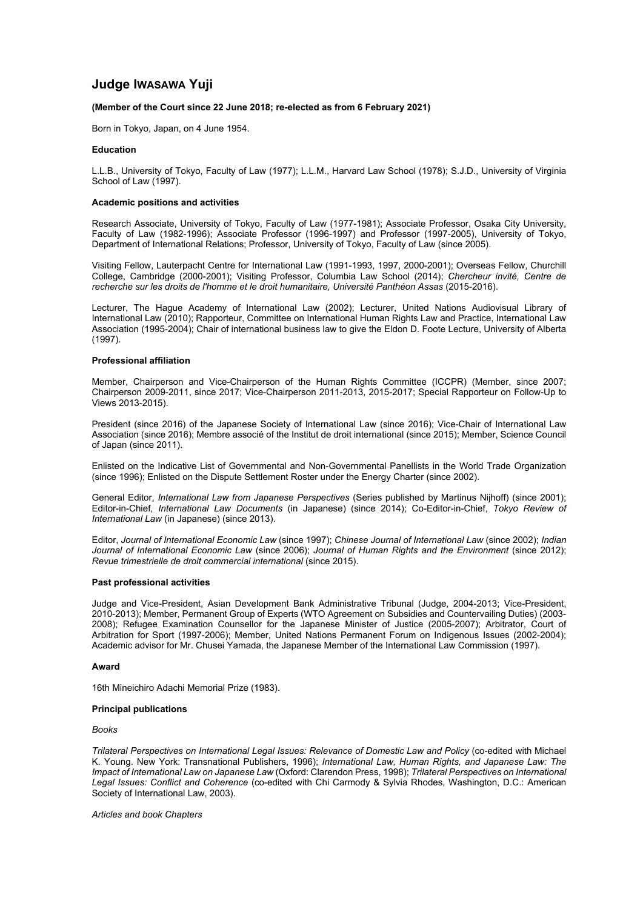# **Judge IWASAWA Yuji**

# **(Member of the Court since 22 June 2018; re-elected as from 6 February 2021)**

Born in Tokyo, Japan, on 4 June 1954.

# **Education**

L.L.B., University of Tokyo, Faculty of Law (1977); L.L.M., Harvard Law School (1978); S.J.D., University of Virginia School of Law (1997).

# **Academic positions and activities**

Research Associate, University of Tokyo, Faculty of Law (1977-1981); Associate Professor, Osaka City University, Faculty of Law (1982-1996); Associate Professor (1996-1997) and Professor (1997-2005), University of Tokyo, Department of International Relations; Professor, University of Tokyo, Faculty of Law (since 2005).

Visiting Fellow, Lauterpacht Centre for International Law (1991-1993, 1997, 2000-2001); Overseas Fellow, Churchill College, Cambridge (2000-2001); Visiting Professor, Columbia Law School (2014); *Chercheur invité, Centre de recherche sur les droits de l'homme et le droit humanitaire, Université Panthéon Assas* (2015-2016).

Lecturer, The Hague Academy of International Law (2002); Lecturer, United Nations Audiovisual Library of International Law (2010); Rapporteur, Committee on International Human Rights Law and Practice, International Law Association (1995-2004); Chair of international business law to give the Eldon D. Foote Lecture, University of Alberta (1997).

# **Professional affiliation**

Member, Chairperson and Vice-Chairperson of the Human Rights Committee (ICCPR) (Member, since 2007; Chairperson 2009-2011, since 2017; Vice-Chairperson 2011-2013, 2015-2017; Special Rapporteur on Follow-Up to Views 2013-2015).

President (since 2016) of the Japanese Society of International Law (since 2016); Vice-Chair of International Law Association (since 2016); Membre associé of the Institut de droit international (since 2015); Member, Science Council of Japan (since 2011).

Enlisted on the Indicative List of Governmental and Non-Governmental Panellists in the World Trade Organization (since 1996); Enlisted on the Dispute Settlement Roster under the Energy Charter (since 2002).

General Editor, *International Law from Japanese Perspectives* (Series published by Martinus Nijhoff) (since 2001); Editor-in-Chief, *International Law Documents* (in Japanese) (since 2014); Co-Editor-in-Chief, *Tokyo Review of International Law* (in Japanese) (since 2013).

Editor, *Journal of International Economic Law* (since 1997); *Chinese Journal of International Law* (since 2002); *Indian Journal of International Economic Law* (since 2006); *Journal of Human Rights and the Environment* (since 2012); *Revue trimestrielle de droit commercial international* (since 2015).

# **Past professional activities**

Judge and Vice-President, Asian Development Bank Administrative Tribunal (Judge, 2004-2013; Vice-President, 2010-2013); Member, Permanent Group of Experts (WTO Agreement on Subsidies and Countervailing Duties) (2003- 2008); Refugee Examination Counsellor for the Japanese Minister of Justice (2005-2007); Arbitrator, Court of Arbitration for Sport (1997-2006); Member, United Nations Permanent Forum on Indigenous Issues (2002-2004); Academic advisor for Mr. Chusei Yamada, the Japanese Member of the International Law Commission (1997).

# **Award**

16th Mineichiro Adachi Memorial Prize (1983).

# **Principal publications**

*Books*

*Trilateral Perspectives on International Legal Issues: Relevance of Domestic Law and Policy* (co-edited with Michael K. Young. New York: Transnational Publishers, 1996); *International Law, Human Rights, and Japanese Law: The Impact of International Law on Japanese Law* (Oxford: Clarendon Press, 1998); *Trilateral Perspectives on International Legal Issues: Conflict and Coherence* (co-edited with Chi Carmody & Sylvia Rhodes, Washington, D.C.: American Society of International Law, 2003).

*Articles and book Chapters*